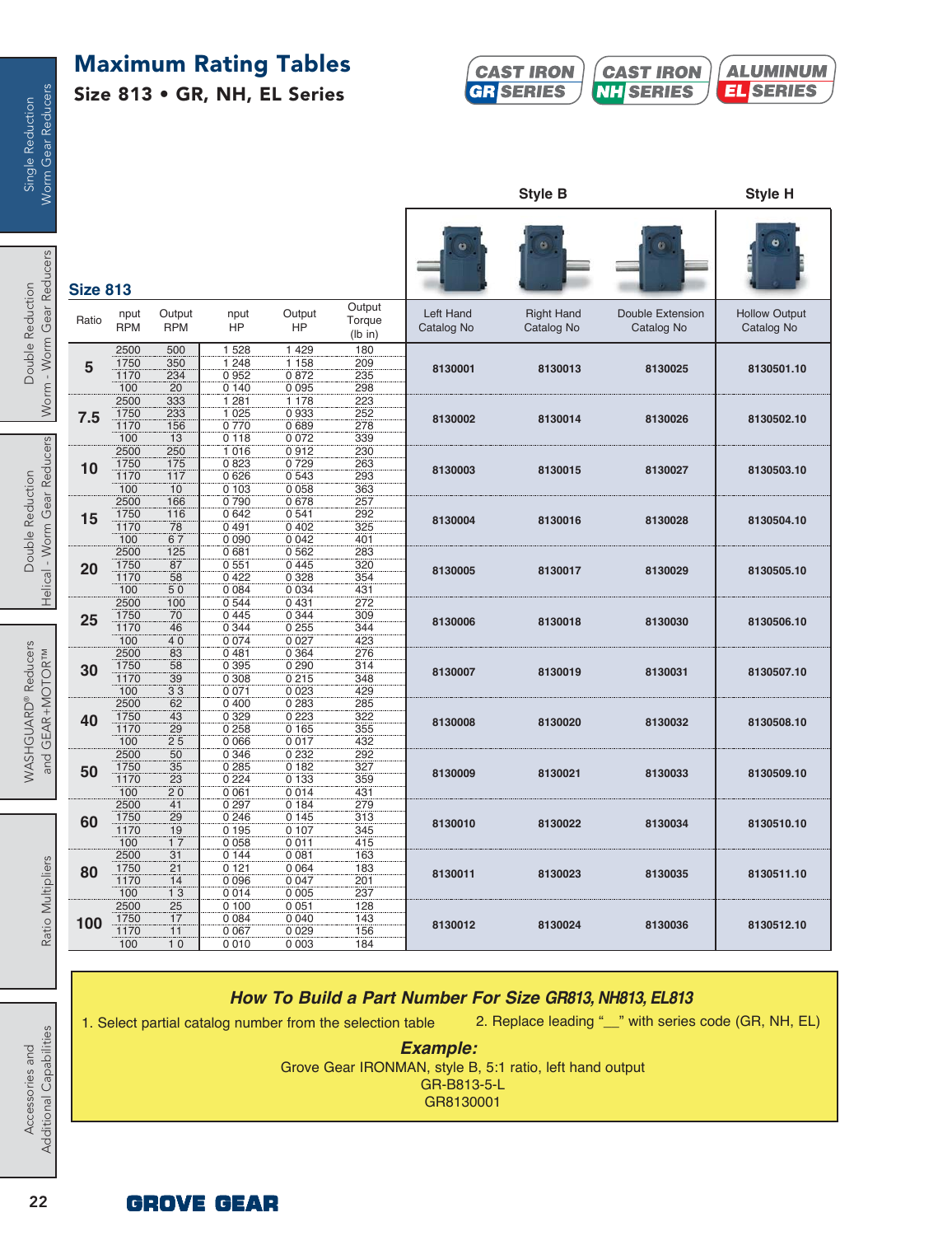# **Maximum Rating Tables**

**Size 813 • GR, NH, EL Series**



|                 |                             |                                   |                                       |                                        |                             |                         | <b>Style B</b>                  |                                | Style H                            |
|-----------------|-----------------------------|-----------------------------------|---------------------------------------|----------------------------------------|-----------------------------|-------------------------|---------------------------------|--------------------------------|------------------------------------|
| <b>Size 813</b> |                             |                                   |                                       |                                        |                             |                         |                                 |                                |                                    |
| Ratio           | nput<br><b>RPM</b>          | Output<br><b>RPM</b>              | nput<br>HP                            | Output<br>HP                           | Output<br>Torque<br>(lb in) | Left Hand<br>Catalog No | <b>Right Hand</b><br>Catalog No | Double Extension<br>Catalog No | <b>Hollow Output</b><br>Catalog No |
| 5               | 2500<br>1750<br>1170<br>100 | 500<br>350<br>234<br>20           | 1 5 2 8<br>1 2 4 8<br>0952<br>0140    | 1 4 2 9<br>1 1 5 8<br>0872<br>0095     | 180<br>209<br>235<br>298    | 8130001                 | 8130013                         | 8130025                        | 8130501.10                         |
| 7.5             | 2500<br>1750<br>1170<br>100 | 333<br>233<br>156<br>13           | 1 2 8 1<br>1 0 2 5<br>0770<br>0 1 1 8 | 1 1 7 8<br>0933<br>0689<br>0072        | 223<br>252<br>278<br>339    | 8130002                 | 8130014                         | 8130026                        | 8130502.10                         |
| 10              | 2500<br>1750<br>1170<br>100 | 250<br>175<br>117<br>10           | 1016<br>0823<br>0626<br>0 1 0 3       | 0912<br>0729<br>0 543<br>0058          | 230<br>263<br>293<br>363    | 8130003                 | 8130015                         | 8130027                        | 8130503.10                         |
| 15              | 2500<br>1750<br>1170<br>100 | 166<br>116<br>78<br>67            | 0790<br>0 642<br>0491<br>0 0 9 0      | 0678<br>0541<br>0402<br>0 0 4 2        | 257<br>292<br>325<br>401    | 8130004                 | 8130016                         | 8130028                        | 8130504.10                         |
| 20              | 2500<br>1750<br>1170<br>100 | 125<br>87<br>58<br>50             | 0681<br>0551<br>0422<br>0 0 8 4       | 0562<br>0445<br>0 3 28<br>0 0 3 4      | 283<br>320<br>354<br>431    | 8130005                 | 8130017                         | 8130029                        | 8130505.10                         |
| 25              | 2500<br>1750<br>1170<br>100 | 100<br>70<br>46<br>40             | 0544<br>0445<br>0 344<br>0 0 7 4      | 0431<br>0 344<br>0255<br>0027          | 272<br>309<br>344<br>423    | 8130006                 | 8130018                         | 8130030                        | 8130506.10                         |
| 30              | 2500<br>1750<br>1170<br>100 | 83<br>58<br>39<br>33              | 0481<br>0 3 9 5<br>0 3 0 8<br>0 0 7 1 | 0 3 6 4<br>0290<br>0215<br>0 0 2 3     | 276<br>314<br>348<br>429    | 8130007                 | 8130019                         | 8130031                        | 8130507.10                         |
| 40              | 2500<br>1750<br>1170<br>100 | 62<br>43<br>29<br>$2\overline{5}$ | 0400<br>0 3 2 9<br>0 258<br>0006      | 0 2 8 3<br>0 2 2 3<br>0 1 6 5<br>0017  | 285<br>322<br>355<br>432    | 8130008                 | 8130020                         | 8130032                        | 8130508.10                         |
| 50              | 2500<br>1750<br>1170<br>100 | 50<br>35<br>23<br>20              | 0 3 4 6<br>0 285<br>0224<br>0 0 6 1   | 0 2 3 2<br>0182<br>0 1 3 3<br>0014     | 292<br>327<br>359<br>431    | 8130009                 | 8130021                         | 8130033                        | 8130509.10                         |
| 60              | 2500<br>1750<br>1170<br>100 | 41<br>29<br>19<br>17              | 0297<br>0246<br>0 1 9 5<br>0058       | 0184<br>0 1 4 5<br>0 107<br>0011       | 279<br>313<br>345<br>415    | 8130010                 | 8130022                         | 8130034                        | 8130510.10                         |
| 80              | 2500<br>1750<br>1170<br>100 | 31<br>21<br>14<br>13              | 0144<br>0121<br>0 0 9 6<br>0014       | 00031<br>0 0 6 4<br>0 0 4 7<br>0 0 0 5 | 163<br>183<br>201<br>237    | 8130011                 | 8130023                         | 8130035                        | 8130511.10                         |
| 100             | 2500<br>1750<br>1170<br>100 | 25<br>17<br>11<br>10              | 0100<br>0084<br>0 0 6 7<br>0010       | 0051<br>0 0 4 0<br>0 0 2 9<br>0 0 0 3  | 128<br>143<br>156<br>184    | 8130012                 | 8130024                         | 8130036                        | 8130512.10                         |

## *How To Build a Part Number For Size GR813, NH813, EL813*

1. Select partial catalog number from the selection table

2. Replace leading "\_\_" with series code (GR, NH, EL)

*Example:*

Grove Gear IRONMAN, style B, 5:1 ratio, left hand output GR-B813-5-L GR8130001

Worm Gear Reducers Single Reduction

Helical - Worm Gear Reducers Double Reduction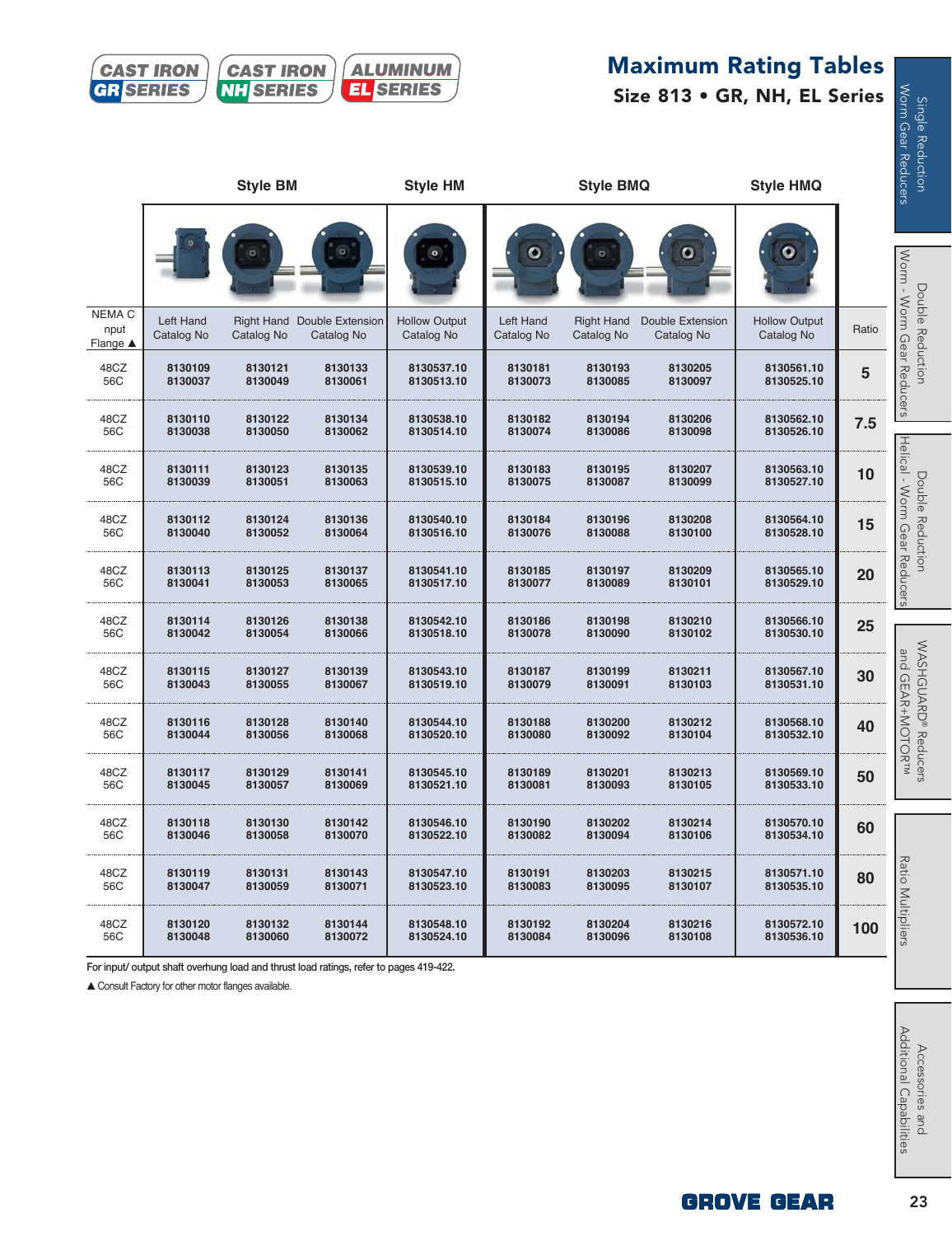# **Maximum Rating Tables**





| О<br>$\circ$<br>$\bullet$<br>$\circ$<br>NEMA C<br>Left Hand<br>Right Hand Double Extension<br><b>Hollow Output</b><br>Left Hand<br>Double Extension<br><b>Hollow Output</b><br><b>Right Hand</b><br>nput<br>Catalog No<br>Catalog No<br>Catalog No<br>Catalog No<br>Catalog No<br>Catalog No<br>Catalog No<br>Catalog No<br>Flange $\triangle$<br>48CZ<br>8130109<br>8130121<br>8130133<br>8130537.10<br>8130181<br>8130193<br>8130205<br>8130561.10<br>56C<br>8130049<br>8130061<br>8130037<br>8130513.10<br>8130073<br>8130085<br>8130097<br>8130525.10<br>48CZ<br>8130110<br>8130182<br>8130194<br>8130206<br>8130562.10<br>8130122<br>8130134<br>8130538.10<br>56C<br>8130038<br>8130050<br>8130062<br>8130514.10<br>8130074<br>8130086<br>8130098<br>8130526.10<br>48CZ<br>8130111<br>8130123<br>8130135<br>8130539.10<br>8130183<br>8130195<br>8130207<br>8130563.10<br>56C<br>8130039<br>8130051<br>8130063<br>8130075<br>8130087<br>8130099<br>8130527.10<br>8130515.10<br>48CZ<br>8130196<br>8130208<br>8130112<br>8130124<br>8130136<br>8130540.10<br>8130184<br>8130564.10<br>56C<br>8130052<br>8130064<br>8130076<br>8130100<br>8130040<br>8130516.10<br>8130088<br>8130528.10<br>48CZ<br>8130113<br>8130185<br>8130197<br>8130125<br>8130137<br>8130541.10<br>8130209<br>8130565.10<br>56C<br>8130077<br>8130041<br>8130053<br>8130065<br>8130517.10<br>8130089<br>8130101<br>8130529.10<br>48CZ<br>8130114<br>8130126<br>8130138<br>8130542.10<br>8130186<br>8130198<br>8130210<br>8130566.10<br>56C<br>8130042<br>8130054<br>8130066<br>8130078<br>8130090<br>8130102<br>8130530.10<br>8130518.10<br>48CZ<br>8130211<br>8130115<br>8130127<br>8130139<br>8130543.10<br>8130187<br>8130199<br>8130567.10<br>56C<br>8130043<br>8130055<br>8130067<br>8130079<br>8130091<br>8130103<br>8130519.10<br>8130531.10<br>48CZ<br>8130116<br>8130188<br>8130200<br>8130128<br>8130140<br>8130544.10<br>8130212<br>8130568.10<br>56C<br>8130044<br>8130056<br>8130068<br>8130520.10<br>8130080<br>8130092<br>8130104<br>8130532.10<br>48CZ<br>8130117<br>8130129<br>8130141<br>8130545.10<br>8130189<br>8130201<br>8130213<br>8130569.10<br>56C<br>8130045<br>8130057<br>8130069<br>8130521.10<br>8130081<br>8130093<br>8130105<br>8130533.10<br>48CZ<br>8130118<br>8130130<br>8130142<br>8130546.10<br>8130190<br>8130202<br>8130214<br>8130570.10<br>56C<br>8130046<br>8130058<br>8130070<br>8130522.10<br>8130082<br>8130094<br>8130106<br>8130534.10 |  |  |  |  | Ratio |
|--------------------------------------------------------------------------------------------------------------------------------------------------------------------------------------------------------------------------------------------------------------------------------------------------------------------------------------------------------------------------------------------------------------------------------------------------------------------------------------------------------------------------------------------------------------------------------------------------------------------------------------------------------------------------------------------------------------------------------------------------------------------------------------------------------------------------------------------------------------------------------------------------------------------------------------------------------------------------------------------------------------------------------------------------------------------------------------------------------------------------------------------------------------------------------------------------------------------------------------------------------------------------------------------------------------------------------------------------------------------------------------------------------------------------------------------------------------------------------------------------------------------------------------------------------------------------------------------------------------------------------------------------------------------------------------------------------------------------------------------------------------------------------------------------------------------------------------------------------------------------------------------------------------------------------------------------------------------------------------------------------------------------------------------------------------------------------------------------------------------------------------------------------------------------------------------------------------------------------------------------------------------------------------------------------------------------------------------------------------------------------------------------------------------------------------------------------------|--|--|--|--|-------|
|                                                                                                                                                                                                                                                                                                                                                                                                                                                                                                                                                                                                                                                                                                                                                                                                                                                                                                                                                                                                                                                                                                                                                                                                                                                                                                                                                                                                                                                                                                                                                                                                                                                                                                                                                                                                                                                                                                                                                                                                                                                                                                                                                                                                                                                                                                                                                                                                                                                              |  |  |  |  |       |
|                                                                                                                                                                                                                                                                                                                                                                                                                                                                                                                                                                                                                                                                                                                                                                                                                                                                                                                                                                                                                                                                                                                                                                                                                                                                                                                                                                                                                                                                                                                                                                                                                                                                                                                                                                                                                                                                                                                                                                                                                                                                                                                                                                                                                                                                                                                                                                                                                                                              |  |  |  |  |       |
|                                                                                                                                                                                                                                                                                                                                                                                                                                                                                                                                                                                                                                                                                                                                                                                                                                                                                                                                                                                                                                                                                                                                                                                                                                                                                                                                                                                                                                                                                                                                                                                                                                                                                                                                                                                                                                                                                                                                                                                                                                                                                                                                                                                                                                                                                                                                                                                                                                                              |  |  |  |  | 5     |
|                                                                                                                                                                                                                                                                                                                                                                                                                                                                                                                                                                                                                                                                                                                                                                                                                                                                                                                                                                                                                                                                                                                                                                                                                                                                                                                                                                                                                                                                                                                                                                                                                                                                                                                                                                                                                                                                                                                                                                                                                                                                                                                                                                                                                                                                                                                                                                                                                                                              |  |  |  |  | 7.5   |
|                                                                                                                                                                                                                                                                                                                                                                                                                                                                                                                                                                                                                                                                                                                                                                                                                                                                                                                                                                                                                                                                                                                                                                                                                                                                                                                                                                                                                                                                                                                                                                                                                                                                                                                                                                                                                                                                                                                                                                                                                                                                                                                                                                                                                                                                                                                                                                                                                                                              |  |  |  |  | 10    |
|                                                                                                                                                                                                                                                                                                                                                                                                                                                                                                                                                                                                                                                                                                                                                                                                                                                                                                                                                                                                                                                                                                                                                                                                                                                                                                                                                                                                                                                                                                                                                                                                                                                                                                                                                                                                                                                                                                                                                                                                                                                                                                                                                                                                                                                                                                                                                                                                                                                              |  |  |  |  | 15    |
|                                                                                                                                                                                                                                                                                                                                                                                                                                                                                                                                                                                                                                                                                                                                                                                                                                                                                                                                                                                                                                                                                                                                                                                                                                                                                                                                                                                                                                                                                                                                                                                                                                                                                                                                                                                                                                                                                                                                                                                                                                                                                                                                                                                                                                                                                                                                                                                                                                                              |  |  |  |  | 20    |
|                                                                                                                                                                                                                                                                                                                                                                                                                                                                                                                                                                                                                                                                                                                                                                                                                                                                                                                                                                                                                                                                                                                                                                                                                                                                                                                                                                                                                                                                                                                                                                                                                                                                                                                                                                                                                                                                                                                                                                                                                                                                                                                                                                                                                                                                                                                                                                                                                                                              |  |  |  |  | 25    |
|                                                                                                                                                                                                                                                                                                                                                                                                                                                                                                                                                                                                                                                                                                                                                                                                                                                                                                                                                                                                                                                                                                                                                                                                                                                                                                                                                                                                                                                                                                                                                                                                                                                                                                                                                                                                                                                                                                                                                                                                                                                                                                                                                                                                                                                                                                                                                                                                                                                              |  |  |  |  | 30    |
|                                                                                                                                                                                                                                                                                                                                                                                                                                                                                                                                                                                                                                                                                                                                                                                                                                                                                                                                                                                                                                                                                                                                                                                                                                                                                                                                                                                                                                                                                                                                                                                                                                                                                                                                                                                                                                                                                                                                                                                                                                                                                                                                                                                                                                                                                                                                                                                                                                                              |  |  |  |  | 40    |
|                                                                                                                                                                                                                                                                                                                                                                                                                                                                                                                                                                                                                                                                                                                                                                                                                                                                                                                                                                                                                                                                                                                                                                                                                                                                                                                                                                                                                                                                                                                                                                                                                                                                                                                                                                                                                                                                                                                                                                                                                                                                                                                                                                                                                                                                                                                                                                                                                                                              |  |  |  |  | 50    |
|                                                                                                                                                                                                                                                                                                                                                                                                                                                                                                                                                                                                                                                                                                                                                                                                                                                                                                                                                                                                                                                                                                                                                                                                                                                                                                                                                                                                                                                                                                                                                                                                                                                                                                                                                                                                                                                                                                                                                                                                                                                                                                                                                                                                                                                                                                                                                                                                                                                              |  |  |  |  | 60    |
| 48CZ<br>8130119<br>8130131<br>8130143<br>8130547.10<br>8130191<br>8130203<br>8130215<br>8130571.10<br>56C<br>8130047<br>8130059<br>8130071<br>8130083<br>8130095<br>8130107<br>8130535.10<br>8130523.10                                                                                                                                                                                                                                                                                                                                                                                                                                                                                                                                                                                                                                                                                                                                                                                                                                                                                                                                                                                                                                                                                                                                                                                                                                                                                                                                                                                                                                                                                                                                                                                                                                                                                                                                                                                                                                                                                                                                                                                                                                                                                                                                                                                                                                                      |  |  |  |  | 80    |
| 48CZ<br>8130132<br>8130204<br>8130216<br>8130120<br>8130144<br>8130548.10<br>8130192<br>8130572.10<br>56C<br>8130048<br>8130060<br>8130072<br>8130084<br>8130096<br>8130108<br>8130536.10<br>8130524.10                                                                                                                                                                                                                                                                                                                                                                                                                                                                                                                                                                                                                                                                                                                                                                                                                                                                                                                                                                                                                                                                                                                                                                                                                                                                                                                                                                                                                                                                                                                                                                                                                                                                                                                                                                                                                                                                                                                                                                                                                                                                                                                                                                                                                                                      |  |  |  |  | 100   |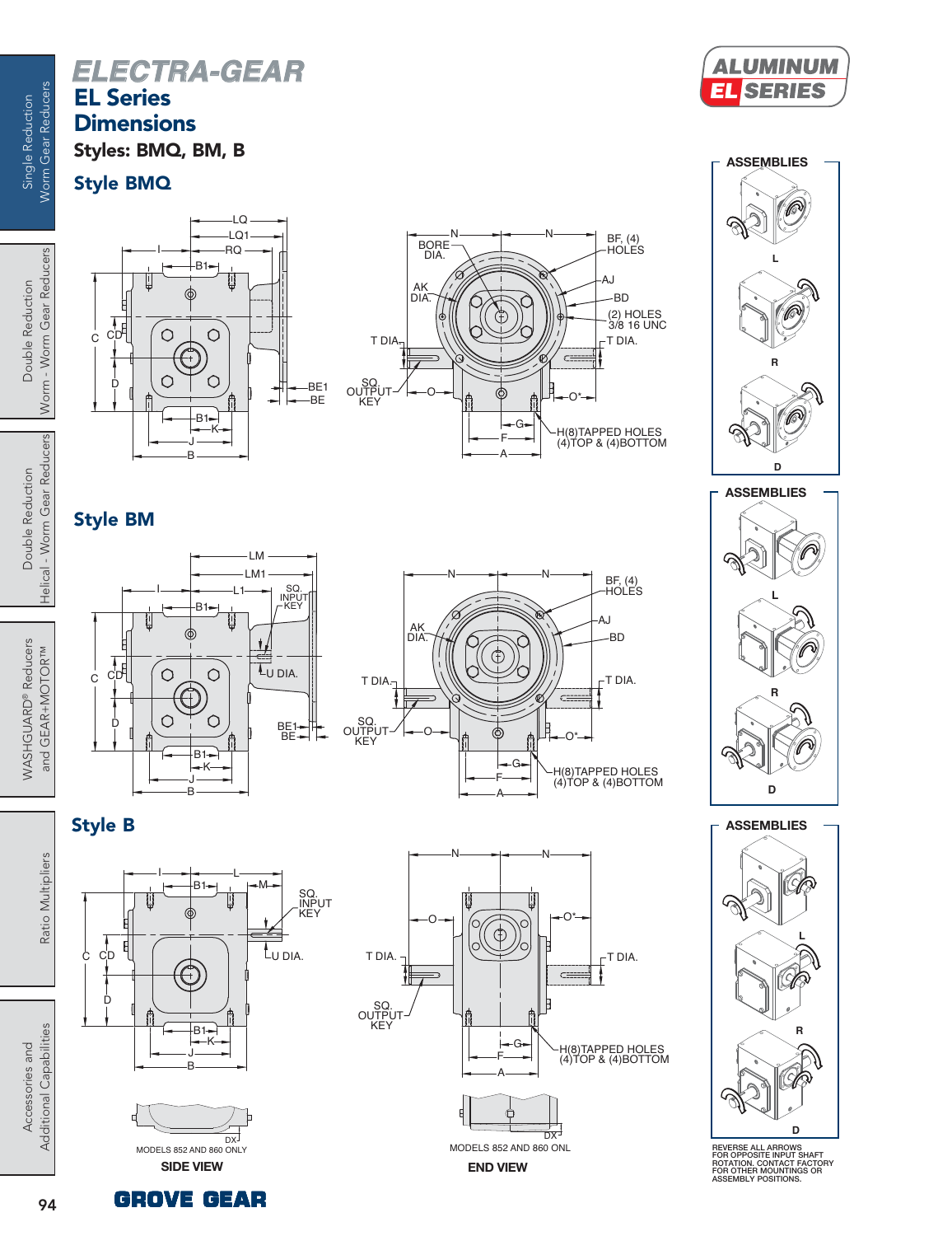# *ELECTRA-GEAR* **EL Series Dimensions**

**Styles: BMQ, BM, B**

**Style BMQ**

 $\overline{c}$ 

C

D

Single Reduction Worm Gear Reducers

Single Reduction

Worm Gear Reducers

Helical - Worm Gear Reducers Helical - Worm Gear Reducers Double Reduction Double Reduction

WASHGUARD<sup>®</sup> Reducers WASHGUARD® Reducers and GEAR+MOTORTM and GEAR+MOTOR™



Ratio Multipliers Ratio Multipliers

 $\prod_{D}$ 

**Style B**

C





(2) HOLES 3/8 16 UNC

BD

BF, (4) HOLES

N

 $AK / W \rightarrow A J$ 

G F A

T DIA.

H(8)TAPPED HOLES (4)TOP & (4)BOTTOM

O\*

 $C =$ 





 $-B1-$ 

 $\circ$ 

 $\circ$ 

B J K

 $-B1$ 

 $\circ$ 

 $\circ$ 

RQ

LQ1 LQ



SQ.<br>OU<u>TP</u>UT **KEY** 

BE1 BE

I BORE<br>
I BORE<br>
DIA.

T DIA.

AK<br>DIA.

O

N



**ASSEMBLIES**

**L R D ASSEMBLIES**

**REVERSE ALL ARROWS FOR OPPOSITE INPUT SHAFT ROTATION. CONTACT FACTORY FOR OTHER MOUNTINGS OR ASSEMBLY POSITIONS.**



SQ. INPUT KEY



 $\frac{1}{\sqrt{2}}$  CD  $\frac{1}{\sqrt{2}}$   $\frac{1}{\sqrt{2}}$   $\frac{1}{\sqrt{2}}$   $\frac{1}{\sqrt{2}}$   $\frac{1}{\sqrt{2}}$   $\frac{1}{\sqrt{2}}$   $\frac{1}{\sqrt{2}}$   $\frac{1}{\sqrt{2}}$   $\frac{1}{\sqrt{2}}$   $\frac{1}{\sqrt{2}}$   $\frac{1}{\sqrt{2}}$   $\frac{1}{\sqrt{2}}$   $\frac{1}{\sqrt{2}}$   $\frac{1}{\sqrt{2}}$   $\frac{1}{\sqrt{2}}$   $\frac{1}{\sqrt{2$ 

B1

I

L

M